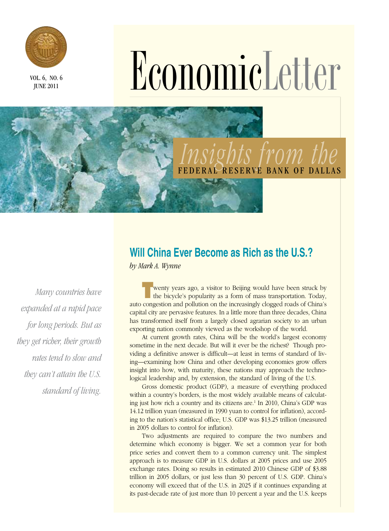

June 2011

# VOL.6, NO.6, No.6

# *Insights from the*  BANK OF DALLAS

*Many countries have expanded at a rapid pace for long periods. But as they get richer, their growth rates tend to slow and they can't attain the U.S. standard of living.* 

## **Will China Ever Become as Rich as the U.S.?**

*by Mark A. Wynne*

**T**wenty years ago, a visitor to Beijing would have been struck by the bicycle's popularity as a form of mass transportation. Today, auto congestion and pollution on the increasingly clogged roads of China's capital city are pervasive features. In a little more than three decades, China has transformed itself from a largely closed agrarian society to an urban exporting nation commonly viewed as the workshop of the world.

At current growth rates, China will be the world's largest economy sometime in the next decade. But will it ever be the richest? Though providing a definitive answer is difficult—at least in terms of standard of living—examining how China and other developing economies grow offers insight into how, with maturity, these nations may approach the technological leadership and, by extension, the standard of living of the U.S.

Gross domestic product (GDP), a measure of everything produced within a country's borders, is the most widely available means of calculating just how rich a country and its citizens are.<sup>1</sup> In 2010, China's GDP was 14.12 trillion yuan (measured in 1990 yuan to control for inflation), according to the nation's statistical office; U.S. GDP was \$13.25 trillion (measured in 2005 dollars to control for inflation).

Two adjustments are required to compare the two numbers and determine which economy is bigger. We set a common year for both price series and convert them to a common currency unit. The simplest approach is to measure GDP in U.S. dollars at 2005 prices and use 2005 exchange rates. Doing so results in estimated 2010 Chinese GDP of \$3.88 trillion in 2005 dollars, or just less than 30 percent of U.S. GDP. China's economy will exceed that of the U.S. in 2025 if it continues expanding at its past-decade rate of just more than 10 percent a year and the U.S. keeps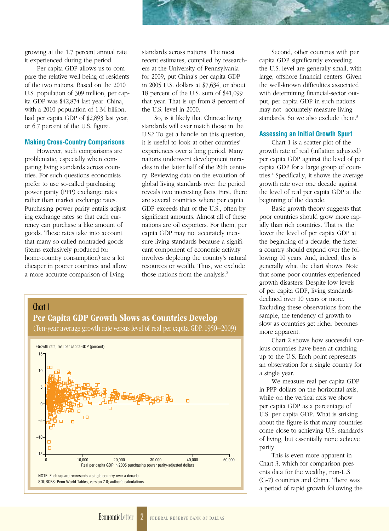growing at the 1.7 percent annual rate it experienced during the period.

Per capita GDP allows us to compare the relative well-being of residents of the two nations. Based on the 2010 U.S. population of 309 million, per capita GDP was \$42,874 last year. China, with a 2010 population of 1.34 billion, had per capita GDP of \$2,893 last year, or 6.7 percent of the U.S. figure.

#### **Making Cross-Country Comparisons**

However, such comparisons are problematic, especially when comparing living standards across countries. For such questions economists prefer to use so-called purchasing power parity (PPP) exchange rates rather than market exchange rates. Purchasing power parity entails adjusting exchange rates so that each currency can purchase a like amount of goods. These rates take into account that many so-called nontraded goods (items exclusively produced for home-country consumption) are a lot cheaper in poorer countries and allow a more accurate comparison of living

–15

standards across nations. The most recent estimates, compiled by researchers at the University of Pennsylvania for 2009, put China's per capita GDP in 2005 U.S. dollars at \$7,634, or about 18 percent of the U.S. sum of \$41,099 that year. That is up from 8 percent of the U.S. level in 2000.

So, is it likely that Chinese living standards will ever match those in the U.S.? To get a handle on this question, it is useful to look at other countries' experiences over a long period. Many nations underwent development miracles in the latter half of the 20th century. Reviewing data on the evolution of global living standards over the period reveals two interesting facts. First, there are several countries where per capita GDP exceeds that of the U.S., often by significant amounts. Almost all of these nations are oil exporters. For them, per capita GDP may not accurately measure living standards because a significant component of economic activity involves depleting the country's natural resources or wealth. Thus, we exclude those nations from the analysis.<sup>2</sup>



0 10,000 20,000 30,000 40,000 50,000

Real per capita GDP in 2005 purchasing power parity-adjusted dollars

NOTE: Each square represents a single country over a decade. SOURCES: Penn World Tables, version 7.0; author's calculations.

Second, other countries with per capita GDP significantly exceeding the U.S. level are generally small, with large, offshore financial centers. Given the well-known difficulties associated with determining financial-sector output, per capita GDP in such nations may not accurately measure living standards. So we also exclude them.<sup>3</sup>

#### **Assessing an Initial Growth Spurt**

Chart 1 is a scatter plot of the growth rate of real (inflation adjusted) per capita GDP against the level of per capita GDP for a large group of countries.4 Specifically, it shows the average growth rate over one decade against the level of real per capita GDP at the beginning of the decade.

Basic growth theory suggests that poor countries should grow more rapidly than rich countries. That is, the lower the level of per capita GDP at the beginning of a decade, the faster a country should expand over the following 10 years. And, indeed, this is generally what the chart shows. Note that some poor countries experienced growth disasters: Despite low levels of per capita GDP, living standards declined over 10 years or more. Excluding these observations from the sample, the tendency of growth to slow as countries get richer becomes more apparent.

Chart 2 shows how successful various countries have been at catching up to the U.S. Each point represents an observation for a single country for a single year.

We measure real per capita GDP in PPP dollars on the horizontal axis, while on the vertical axis we show per capita GDP as a percentage of U.S. per capita GDP. What is striking about the figure is that many countries come close to achieving U.S. standards of living, but essentially none achieve parity.

This is even more apparent in Chart 3, which for comparison presents data for the wealthy, non-U.S. (G-7) countries and China. There was a period of rapid growth following the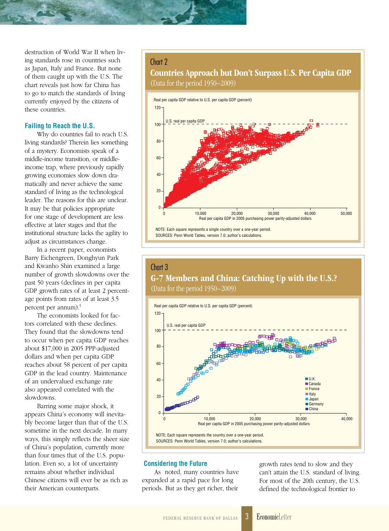destruction of World War II when living standards rose in countries such as Japan, Italy and France. But none of them caught up with the U.S. The chart reveals just how far China has to go to match the standards of living currently enjoyed by the citizens of these countries.

#### **Failing to Reach the U.S.**

Why do countries fail to reach U.S. living standards? Therein lies something of a mystery. Economists speak of a middle-income transition, or middleincome trap, where previously rapidly growing economies slow down dramatically and never achieve the same standard of living as the technological leader. The reasons for this are unclear. It may be that policies appropriate for one stage of development are less effective at later stages and that the institutional structure lacks the agility to adjust as circumstances change.

In a recent paper, economists Barry Eichengreen, Donghyun Park and Kwanho Shin examined a large number of growth slowdowns over the past 50 years (declines in per capita GDP growth rates of at least 2 percentage points from rates of at least 3.5 percent per annum).<sup>5</sup>

The economists looked for factors correlated with these declines. They found that the slowdowns tend to occur when per capita GDP reaches about \$17,000 in 2005 PPP-adjusted dollars and when per capita GDP reaches about 58 percent of per capita GDP in the lead country. Maintenance of an undervalued exchange rate also appeared correlated with the slowdowns.

Barring some major shock, it appears China's economy will inevitably become larger than that of the U.S. sometime in the next decade. In many ways, this simply reflects the sheer size of China's population, currently more than four times that of the U.S. population. Even so, a lot of uncertainty remains about whether individual Chinese citizens will ever be as rich as their American counterparts.

#### Chart 2

### Countries Approach but Don't Surpass U.S. Per Capita GDP (Data for the period 1950–2009)



## Chart 3 G-7 Members and China: Catching Up with the U.S.? (Data for the period 1950–2009)



#### **Considering the Future**

As noted, many countries have expanded at a rapid pace for long periods. But as they get richer, their

growth rates tend to slow and they can't attain the U.S. standard of living. For most of the 20th century, the U.S. defined the technological frontier to